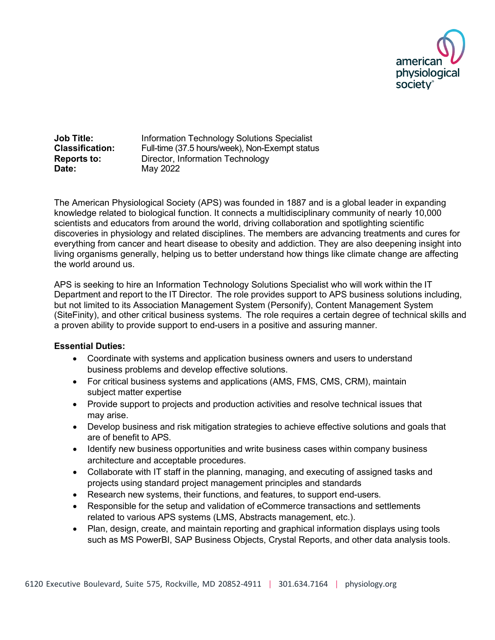

**Job Title:** Information Technology Solutions Specialist **Classification:** Full-time (37.5 hours/week), Non-Exempt status **Reports to:** Director, Information Technology **Date:** May 2022

The American Physiological Society (APS) was founded in 1887 and is a global leader in expanding knowledge related to biological function. It connects a multidisciplinary community of nearly 10,000 scientists and educators from around the world, driving collaboration and spotlighting scientific discoveries in physiology and related disciplines. The members are advancing treatments and cures for everything from cancer and heart disease to obesity and addiction. They are also deepening insight into living organisms generally, helping us to better understand how things like climate change are affecting the world around us.

APS is seeking to hire an Information Technology Solutions Specialist who will work within the IT Department and report to the IT Director. The role provides support to APS business solutions including, but not limited to its Association Management System (Personify), Content Management System (SiteFinity), and other critical business systems. The role requires a certain degree of technical skills and a proven ability to provide support to end-users in a positive and assuring manner.

## **Essential Duties:**

- Coordinate with systems and application business owners and users to understand business problems and develop effective solutions.
- For critical business systems and applications (AMS, FMS, CMS, CRM), maintain subject matter expertise
- Provide support to projects and production activities and resolve technical issues that may arise.
- Develop business and risk mitigation strategies to achieve effective solutions and goals that are of benefit to APS.
- Identify new business opportunities and write business cases within company business architecture and acceptable procedures.
- Collaborate with IT staff in the planning, managing, and executing of assigned tasks and projects using standard project management principles and standards
- Research new systems, their functions, and features, to support end-users.
- Responsible for the setup and validation of eCommerce transactions and settlements related to various APS systems (LMS, Abstracts management, etc.).
- Plan, design, create, and maintain reporting and graphical information displays using tools such as MS PowerBI, SAP Business Objects, Crystal Reports, and other data analysis tools.